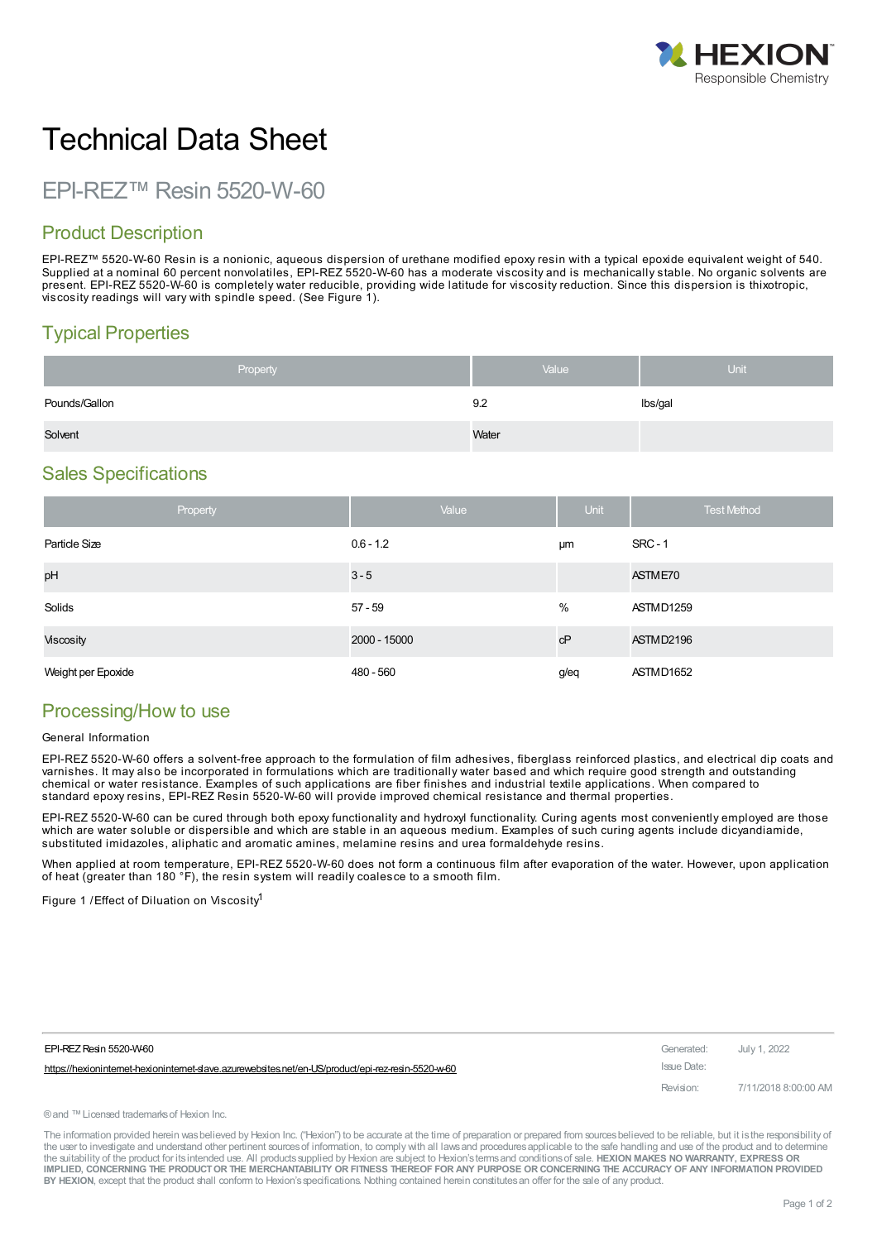

# Technical Data Sheet

EPI-REZ™ Resin 5520-W-60

### Product Description

EPI-REZ™ 5520-W-60 Resin is a nonionic, aqueous dispersion of urethane modified epoxy resin with a typical epoxide equivalent weight of 540. Supplied at a nominal 60 percent nonvolatiles, EPI-REZ 5520-W-60 has a moderate viscosity and is mechanically stable. No organic solvents are present. EPI-REZ 5520-W-60 is completely water reducible, providing wide latitude for viscosity reduction. Since this dispersion is thixotropic, viscosity readings will vary with spindle speed. (See Figure 1).

## Typical Properties

| Property      | Value | <b>Unit</b> |
|---------------|-------|-------------|
| Pounds/Gallon | 9.2   | lbs/gal     |
| Solvent       | Water |             |

#### Sales Specifications

|                    | Property | Value        | Unit | <b>Test Method</b> |
|--------------------|----------|--------------|------|--------------------|
| Particle Size      |          | $0.6 - 1.2$  | μm   | <b>SRC - 1</b>     |
| pH                 |          | $3 - 5$      |      | ASTME70            |
| Solids             |          | $57 - 59$    | %    | ASTMD1259          |
| <b>Viscosity</b>   |          | 2000 - 15000 | cP   | ASTMD2196          |
| Weight per Epoxide |          | 480 - 560    | g/eq | ASTMD1652          |

#### Processing/How to use

#### General Information

EPI-REZ 5520-W-60 offers a solvent-free approach to the formulation of film adhesives, fiberglass reinforced plastics, and electrical dip coats and varnishes. It may also be incorporated in formulations which are traditionally water based and which require good strength and outstanding chemical or water resistance. Examples of such applications are fiber finishes and industrial textile applications. When compared to standard epoxy resins, EPI-REZ Resin 5520-W-60 will provide improved chemical resistance and thermal properties.

EPI-REZ 5520-W-60 can be cured through both epoxy functionality and hydroxyl functionality. Curing agents most conveniently employed are those which are water soluble or dispersible and which are stable in an aqueous medium. Examples of such curing agents include dicyandiamide, substituted imidazoles, aliphatic and aromatic amines, melamine resins and urea formaldehyde resins.

When applied at room temperature, EPI-REZ 5520-W-60 does not form a continuous film after evaporation of the water. However, upon application of heat (greater than 180 °F), the resin system will readily coalesce to a smooth film.

Figure 1 /Effect of Diluation on Viscosity<sup>1</sup>

| EPI-REZ Resin 5520-W-60                                                                           | Generated:  | July 1. 2022         |
|---------------------------------------------------------------------------------------------------|-------------|----------------------|
| https://hexionintemet-hexionintemet-slave.azurewebsites.net/en-US/product/epi-rez-resin-5520-w-60 | Issue Date: |                      |
|                                                                                                   | Revision:   | 7/11/2018 8:00:00 AM |

®and ™Licensed trademarksof Hexion Inc.

The information provided herein was believed by Hexion Inc. ("Hexion") to be accurate at the time of preparation or prepared from sources believed to be reliable, but it is the responsibility of the user to investigate and understand other pertinent sources of information, to comply with all laws and procedures applicable to the safe handling and use of the product and to determine the suitability of the product for itsintended use. All productssupplied by Hexion are subject to Hexion'stermsand conditionsof sale. **HEXION MAKES NO WARRANTY, EXPRESS OR** IMPLIED, CONCERNING THE PRODUCT OR THE MERCHANTABILITY OR FITNESS THEREOF FOR ANY PURPOSE OR CONCERNING THE ACCURACY OF ANY INFORMATION PROVIDED **BY HEXION**, except that the product shall conform to Hexion'sspecifications. Nothing contained herein constitutesan offer for the sale of any product.